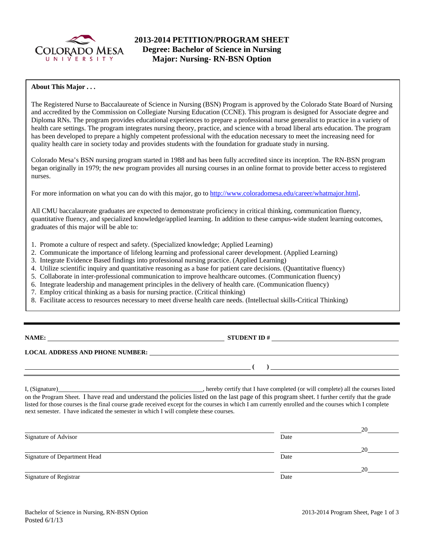

# **2013-2014 PETITION/PROGRAM SHEET Degree: Bachelor of Science in Nursing Major: Nursing- RN-BSN Option**

## **About This Major . . .**

The Registered Nurse to Baccalaureate of Science in Nursing (BSN) Program is approved by the Colorado State Board of Nursing and accredited by the Commission on Collegiate Nursing Education (CCNE). This program is designed for Associate degree and Diploma RNs. The program provides educational experiences to prepare a professional nurse generalist to practice in a variety of health care settings. The program integrates nursing theory, practice, and science with a broad liberal arts education. The program has been developed to prepare a highly competent professional with the education necessary to meet the increasing need for quality health care in society today and provides students with the foundation for graduate study in nursing.

Colorado Mesa's BSN nursing program started in 1988 and has been fully accredited since its inception. The RN-BSN program began originally in 1979; the new program provides all nursing courses in an online format to provide better access to registered nurses.

For more information on what you can do with this major, go to http://www.coloradomesa.edu/career/whatmajor.html.

All CMU baccalaureate graduates are expected to demonstrate proficiency in critical thinking, communication fluency, quantitative fluency, and specialized knowledge/applied learning. In addition to these campus-wide student learning outcomes, graduates of this major will be able to:

- 1. Promote a culture of respect and safety. (Specialized knowledge; Applied Learning)
- 2. Communicate the importance of lifelong learning and professional career development. (Applied Learning)
- 3. Integrate Evidence Based findings into professional nursing practice. (Applied Learning)
- 4. Utilize scientific inquiry and quantitative reasoning as a base for patient care decisions. (Quantitative fluency)
- 5. Collaborate in inter-professional communication to improve healthcare outcomes. (Communication fluency)
- 6. Integrate leadership and management principles in the delivery of health care. (Communication fluency)
- 7. Employ critical thinking as a basis for nursing practice. (Critical thinking)
- 8. Facilitate access to resources necessary to meet diverse health care needs. (Intellectual skills-Critical Thinking)

**NAMES IN STUDENT ID #** 

 $\lambda$ 

## **LOCAL ADDRESS AND PHONE NUMBER:**

I, (Signature) , hereby certify that I have completed (or will complete) all the courses listed on the Program Sheet. I have read and understand the policies listed on the last page of this program sheet. I further certify that the grade listed for those courses is the final course grade received except for the courses in which I am currently enrolled and the courses which I complete next semester. I have indicated the semester in which I will complete these courses.

|                              |      | 20 |
|------------------------------|------|----|
| Signature of Advisor         | Date |    |
|                              |      | 20 |
| Signature of Department Head | Date |    |
|                              |      | 20 |
| Signature of Registrar       | Date |    |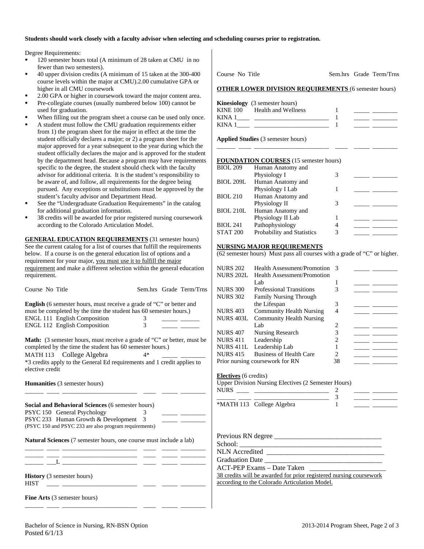#### **Students should work closely with a faculty advisor when selecting and scheduling courses prior to registration.**

Degree Requirements:

- 120 semester hours total (A minimum of 28 taken at CMU in no fewer than two semesters).
- 40 upper division credits (A minimum of 15 taken at the 300-400 course levels within the major at CMU).2.00 cumulative GPA or higher in all CMU coursework
- 2.00 GPA or higher in coursework toward the major content area.
- Pre-collegiate courses (usually numbered below 100) cannot be used for graduation.
- When filling out the program sheet a course can be used only once.
- A student must follow the CMU graduation requirements either from 1) the program sheet for the major in effect at the time the student officially declares a major; or 2) a program sheet for the major approved for a year subsequent to the year during which the student officially declares the major and is approved for the student by the department head. Because a program may have requirements specific to the degree, the student should check with the faculty advisor for additional criteria. It is the student's responsibility to be aware of, and follow, all requirements for the degree being pursued. Any exceptions or substitutions must be approved by the student's faculty advisor and Department Head.
- See the "Undergraduate Graduation Requirements" in the catalog for additional graduation information.
- 38 credits will be awarded for prior registered nursing coursework according to the Colorado Articulation Model.

**GENERAL EDUCATION REQUIREMENTS** (31 semester hours) See the current catalog for a list of courses that fulfill the requirements below. If a course is on the general education list of options and a requirement for your major, you must use it to fulfill the major requirement and make a different selection within the general education requirement.

| English (6 semester hours, must receive a grade of "C" or better and           |                                            |  |
|--------------------------------------------------------------------------------|--------------------------------------------|--|
| must be completed by the time the student has 60 semester hours.)              |                                            |  |
| ENGL 111 English Composition                                                   | 3                                          |  |
| ENGL 112 English Composition                                                   | $\mathfrak{Z}$                             |  |
|                                                                                |                                            |  |
| <b>Math:</b> (3 semester hours, must receive a grade of "C" or better, must be |                                            |  |
| completed by the time the student has 60 semester hours.)                      |                                            |  |
| MATH 113 College Algebra                                                       | $4*$                                       |  |
| *3 credits apply to the General Ed requirements and 1 credit applies to        |                                            |  |
| elective credit                                                                |                                            |  |
|                                                                                |                                            |  |
| <b>Humanities</b> (3 semester hours)                                           |                                            |  |
|                                                                                |                                            |  |
|                                                                                |                                            |  |
| <b>Social and Behavioral Sciences (6 semester hours)</b>                       |                                            |  |
| PSYC 150 General Psychology                                                    | 3<br><u> Albanya (Albanya Albanya)</u>     |  |
| PSYC 233 Human Growth & Development 3                                          | <u> Alexandria (Alexandria Alexandria </u> |  |
| (PSYC 150 and PSYC 233 are also program requirements)                          |                                            |  |
|                                                                                |                                            |  |
| <b>Natural Sciences</b> (7 semester hours, one course must include a lab)      |                                            |  |
|                                                                                |                                            |  |
|                                                                                |                                            |  |
|                                                                                |                                            |  |
|                                                                                |                                            |  |
| <b>History</b> (3 semester hours)                                              |                                            |  |
| <b>HIST</b>                                                                    |                                            |  |

\_\_\_\_\_\_ \_\_\_\_ \_\_\_\_\_\_\_\_\_\_\_\_\_\_\_\_\_\_\_\_\_\_\_\_ \_\_\_\_ \_\_\_\_\_ \_\_\_\_\_\_\_\_

Course No Title Sem.hrs Grade Term/Trns **OTHER LOWER DIVISION REQUIREMENTS** (6 semester hours)

|          | <b>Kinesiology</b> (3 semester hours) |  |  |
|----------|---------------------------------------|--|--|
| KINE 100 | Health and Wellness                   |  |  |
| KINA 1   |                                       |  |  |
| KINA 1   |                                       |  |  |
|          |                                       |  |  |

\_\_\_\_\_\_ \_\_\_\_ \_\_\_\_\_\_\_\_\_\_\_\_\_\_\_\_\_\_\_\_\_\_\_\_ \_\_\_\_ \_\_\_\_\_ \_\_\_\_\_\_\_\_

**Applied Studies** (3 semester hours)

#### **FOUNDATION COURSES** (15 semester hours)

| <b>BIOL 209</b>  | Human Anatomy and          |   |  |
|------------------|----------------------------|---|--|
|                  | Physiology I               |   |  |
| <b>BIOL 209L</b> | Human Anatomy and          |   |  |
|                  | Physiology I Lab           |   |  |
| <b>BIOL 210</b>  | Human Anatomy and          |   |  |
|                  | Physiology II              | 3 |  |
| <b>BIOL 210L</b> | Human Anatomy and          |   |  |
|                  | Physiology II Lab          |   |  |
| <b>BIOL 241</b>  | Pathophysiology            | 4 |  |
| <b>STAT 200</b>  | Probability and Statistics | 3 |  |
|                  |                            |   |  |

#### **NURSING MAJOR REQUIREMENTS**

(62 semester hours) Must pass all courses with a grade of "C" or higher.

| <b>NURS 202</b>  | Health Assessment/Promotion 3   |    |  |
|------------------|---------------------------------|----|--|
| <b>NURS 202L</b> | Health Assessment/Promotion     |    |  |
|                  | Lab                             |    |  |
| <b>NURS 300</b>  | <b>Professional Transitions</b> | 3  |  |
| <b>NURS 302</b>  | <b>Family Nursing Through</b>   |    |  |
|                  | the Lifespan                    | 3  |  |
| <b>NURS 403</b>  | <b>Community Health Nursing</b> |    |  |
| <b>NURS 403L</b> | <b>Community Health Nursing</b> |    |  |
|                  | Lab.                            | 2  |  |
| <b>NURS 407</b>  | Nursing Research                | 3  |  |
| <b>NURS 411</b>  | Leadership                      |    |  |
| <b>NURS 411L</b> | Leadership Lab                  |    |  |
| <b>NURS 415</b>  | <b>Business of Health Care</b>  | 2  |  |
|                  | Prior nursing coursework for RN | 38 |  |
|                  |                                 |    |  |

#### **ctives** (6 credits)

per Division Nursing Electives (2 Semester Hours)

| NURS |                           |  |
|------|---------------------------|--|
|      |                           |  |
|      | *MATH 113 College Algebra |  |

| Previous RN degree                                                 |
|--------------------------------------------------------------------|
|                                                                    |
| NLN Accredited                                                     |
| <b>Graduation Date</b>                                             |
| ACT-PEP Exams – Date Taken                                         |
| 38 credits will be awarded for prior registered nursing coursework |

ording to the Colorado Articulation Model.